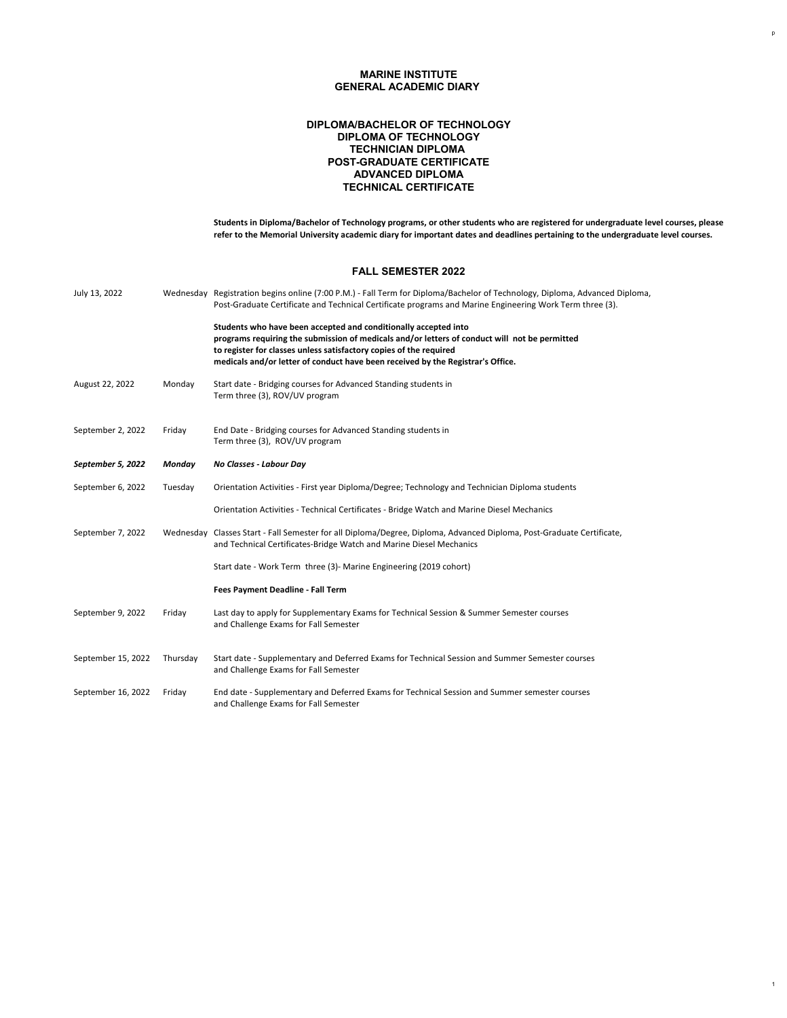1

**Students in Diploma/Bachelor of Technology programs, or other students who are registered for undergraduate level courses, please refer to the Memorial University academic diary for important dates and deadlines pertaining to the undergraduate level courses.**

| July 13, 2022     |         | Wednesday Registration begins online (7:00 P.M.) - Fall Term for Diploma/Bachelor of Technology, Diploma, Advanced Diploma,<br>Post-Graduate Certificate and Technical Certificate programs and Marine Engineering Work Term three (3).                                                                                   |
|-------------------|---------|---------------------------------------------------------------------------------------------------------------------------------------------------------------------------------------------------------------------------------------------------------------------------------------------------------------------------|
|                   |         | Students who have been accepted and conditionally accepted into<br>programs requiring the submission of medicals and/or letters of conduct will not be permitted<br>to register for classes unless satisfactory copies of the required<br>medicals and/or letter of conduct have been received by the Registrar's Office. |
| August 22, 2022   | Monday  | Start date - Bridging courses for Advanced Standing students in<br>Term three (3), ROV/UV program                                                                                                                                                                                                                         |
| September 2, 2022 | Friday  | End Date - Bridging courses for Advanced Standing students in<br>Term three (3), ROV/UV program                                                                                                                                                                                                                           |
| September 5, 2022 | Monday  | <b>No Classes - Labour Day</b>                                                                                                                                                                                                                                                                                            |
| September 6, 2022 | Tuesday | Orientation Activities - First year Diploma/Degree; Technology and Technician Diploma students                                                                                                                                                                                                                            |
|                   |         | Orientation Activities - Technical Certificates - Bridge Watch and Marine Diesel Mechanics                                                                                                                                                                                                                                |

| September 7, 2022  |          | Wednesday Classes Start - Fall Semester for all Diploma/Degree, Diploma, Advanced Diploma, Post-Graduate Certificate,<br>and Technical Certificates-Bridge Watch and Marine Diesel Mechanics |  |  |
|--------------------|----------|----------------------------------------------------------------------------------------------------------------------------------------------------------------------------------------------|--|--|
|                    |          | Start date - Work Term three (3) - Marine Engineering (2019 cohort)                                                                                                                          |  |  |
|                    |          | <b>Fees Payment Deadline - Fall Term</b>                                                                                                                                                     |  |  |
| September 9, 2022  | Friday   | Last day to apply for Supplementary Exams for Technical Session & Summer Semester courses<br>and Challenge Exams for Fall Semester                                                           |  |  |
| September 15, 2022 | Thursday | Start date - Supplementary and Deferred Exams for Technical Session and Summer Semester courses<br>and Challenge Exams for Fall Semester                                                     |  |  |
| September 16, 2022 | Friday   | End date - Supplementary and Deferred Exams for Technical Session and Summer semester courses<br>and Challenge Exams for Fall Semester                                                       |  |  |

# **MARINE INSTITUTE GENERAL ACADEMIC DIARY**

# **POST-GRADUATE CERTIFICATE DIPLOMA/BACHELOR OF TECHNOLOGY DIPLOMA OF TECHNOLOGY TECHNICIAN DIPLOMA ADVANCED DIPLOMA TECHNICAL CERTIFICATE**

### **FALL SEMESTER 2022**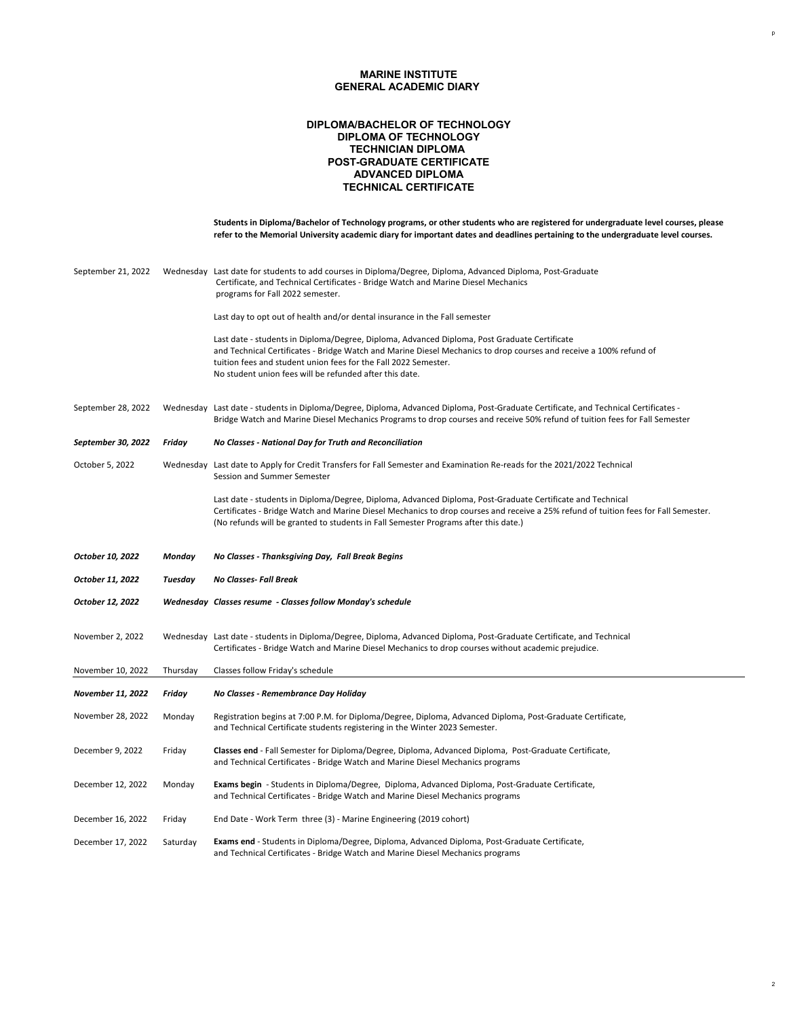**Students in Diploma/Bachelor of Technology programs, or other students who are registered for undergraduate level courses, please refer to the Memorial University academic diary for important dates and deadlines pertaining to the undergraduate level courses.**

# **MARINE INSTITUTE GENERAL ACADEMIC DIARY**

# **POST-GRADUATE CERTIFICATE DIPLOMA/BACHELOR OF TECHNOLOGY DIPLOMA OF TECHNOLOGY TECHNICIAN DIPLOMA ADVANCED DIPLOMA TECHNICAL CERTIFICATE**

| September 21, 2022        | Wednesday | Last date for students to add courses in Diploma/Degree, Diploma, Advanced Diploma, Post-Graduate<br>Certificate, and Technical Certificates - Bridge Watch and Marine Diesel Mechanics<br>programs for Fall 2022 semester.                                                                                                                      |
|---------------------------|-----------|--------------------------------------------------------------------------------------------------------------------------------------------------------------------------------------------------------------------------------------------------------------------------------------------------------------------------------------------------|
|                           |           | Last day to opt out of health and/or dental insurance in the Fall semester                                                                                                                                                                                                                                                                       |
|                           |           | Last date - students in Diploma/Degree, Diploma, Advanced Diploma, Post Graduate Certificate<br>and Technical Certificates - Bridge Watch and Marine Diesel Mechanics to drop courses and receive a 100% refund of<br>tuition fees and student union fees for the Fall 2022 Semester.<br>No student union fees will be refunded after this date. |
| September 28, 2022        | Wednesday | Last date - students in Diploma/Degree, Diploma, Advanced Diploma, Post-Graduate Certificate, and Technical Certificates -<br>Bridge Watch and Marine Diesel Mechanics Programs to drop courses and receive 50% refund of tuition fees for Fall Semester                                                                                         |
| <b>September 30, 2022</b> | Friday    | No Classes - National Day for Truth and Reconciliation                                                                                                                                                                                                                                                                                           |
| October 5, 2022           | Wednesday | Last date to Apply for Credit Transfers for Fall Semester and Examination Re-reads for the 2021/2022 Technical<br><b>Session and Summer Semester</b>                                                                                                                                                                                             |
|                           |           | Last date - students in Diploma/Degree, Diploma, Advanced Diploma, Post-Graduate Certificate and Technical<br>As affective in the contract of Linds to a International contract of the Carolina Contract of the Computer of the Carolina contract and                                                                                            |

Certificates - Bridge Watch and Marine Diesel Mechanics to drop courses and receive a 25% refund of tuition fees for Fall Semester.

(No refunds will be granted to students in Fall Semester Programs after this date.)

| October 10, 2022         | Monday   | No Classes - Thanksgiving Day, Fall Break Begins                                                                                                                                                                             |
|--------------------------|----------|------------------------------------------------------------------------------------------------------------------------------------------------------------------------------------------------------------------------------|
| October 11, 2022         | Tuesday  | <b>No Classes-Fall Break</b>                                                                                                                                                                                                 |
| October 12, 2022         |          | Wednesday Classes resume - Classes follow Monday's schedule                                                                                                                                                                  |
| November 2, 2022         |          | Wednesday Last date - students in Diploma/Degree, Diploma, Advanced Diploma, Post-Graduate Certificate, and Technical<br>Certificates - Bridge Watch and Marine Diesel Mechanics to drop courses without academic prejudice. |
| November 10, 2022        | Thursday | Classes follow Friday's schedule                                                                                                                                                                                             |
| <b>November 11, 2022</b> | Friday   | No Classes - Remembrance Day Holiday                                                                                                                                                                                         |
| November 28, 2022        | Monday   | Registration begins at 7:00 P.M. for Diploma/Degree, Diploma, Advanced Diploma, Post-Graduate Certificate,<br>and Technical Certificate students registering in the Winter 2023 Semester.                                    |
| December 9, 2022         | Friday   | Classes end - Fall Semester for Diploma/Degree, Diploma, Advanced Diploma, Post-Graduate Certificate,<br>and Technical Certificates - Bridge Watch and Marine Diesel Mechanics programs                                      |
| December 12, 2022        | Monday   | Exams begin - Students in Diploma/Degree, Diploma, Advanced Diploma, Post-Graduate Certificate,<br>and Technical Certificates - Bridge Watch and Marine Diesel Mechanics programs                                            |
| December 16, 2022        | Friday   | End Date - Work Term three (3) - Marine Engineering (2019 cohort)                                                                                                                                                            |
| December 17, 2022        | Saturday | Exams end - Students in Diploma/Degree, Diploma, Advanced Diploma, Post-Graduate Certificate,<br>and Technical Certificates - Bridge Watch and Marine Diesel Mechanics programs                                              |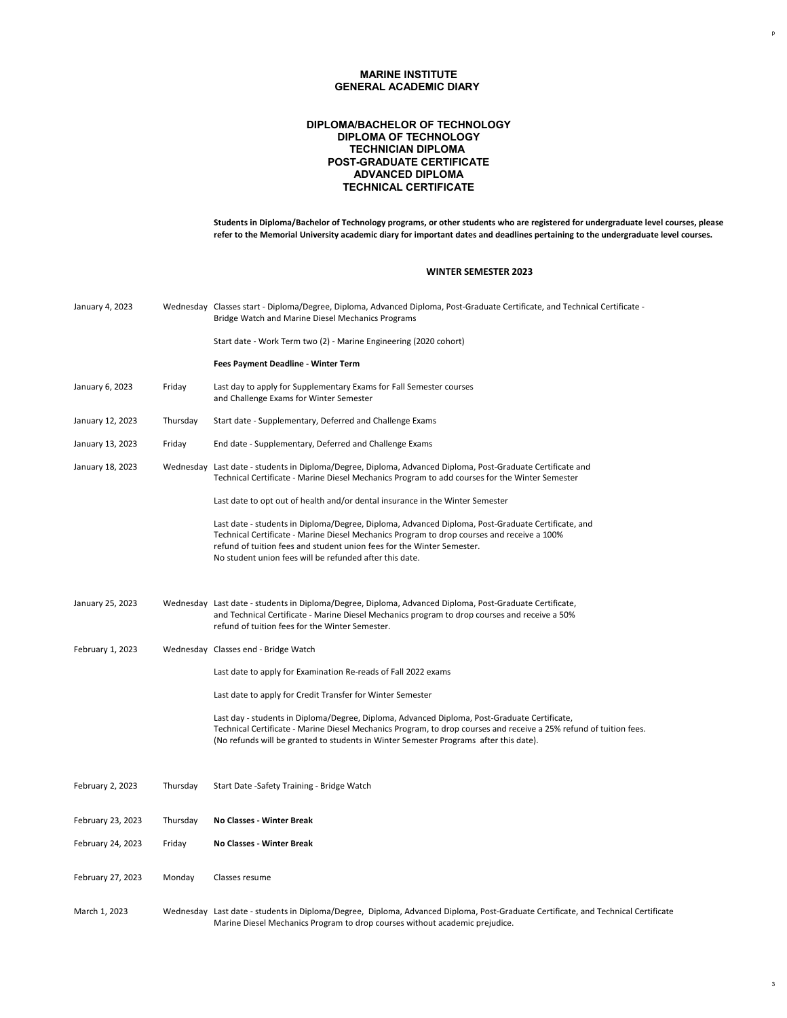**Students in Diploma/Bachelor of Technology programs, or other students who are registered for undergraduate level courses, please refer to the Memorial University academic diary for important dates and deadlines pertaining to the undergraduate level courses.**

### **MARINE INSTITUTE GENERAL ACADEMIC DIARY**

# **POST-GRADUATE CERTIFICATE DIPLOMA/BACHELOR OF TECHNOLOGY DIPLOMA OF TECHNOLOGY TECHNICIAN DIPLOMA ADVANCED DIPLOMA TECHNICAL CERTIFICATE**

| January 4, 2023  |          | Wednesday Classes start - Diploma/Degree, Diploma, Advanced Diploma, Post-Graduate Certificate, and Technical Certificate -<br><b>Bridge Watch and Marine Diesel Mechanics Programs</b>                      |
|------------------|----------|--------------------------------------------------------------------------------------------------------------------------------------------------------------------------------------------------------------|
|                  |          | Start date - Work Term two (2) - Marine Engineering (2020 cohort)                                                                                                                                            |
|                  |          | <b>Fees Payment Deadline - Winter Term</b>                                                                                                                                                                   |
| January 6, 2023  | Friday   | Last day to apply for Supplementary Exams for Fall Semester courses<br>and Challenge Exams for Winter Semester                                                                                               |
| January 12, 2023 | Thursday | Start date - Supplementary, Deferred and Challenge Exams                                                                                                                                                     |
| January 13, 2023 | Friday   | End date - Supplementary, Deferred and Challenge Exams                                                                                                                                                       |
| January 18, 2023 |          | Wednesday Last date - students in Diploma/Degree, Diploma, Advanced Diploma, Post-Graduate Certificate and<br>Technical Certificate - Marine Diesel Mechanics Program to add courses for the Winter Semester |
|                  |          | Last date to opt out of health and/or dental insurance in the Winter Semester                                                                                                                                |

|                  | Last date - students in Diploma/Degree, Diploma, Advanced Diploma, Post-Graduate Certificate, and<br>Technical Certificate - Marine Diesel Mechanics Program to drop courses and receive a 100%<br>refund of tuition fees and student union fees for the Winter Semester.<br>No student union fees will be refunded after this date. |
|------------------|--------------------------------------------------------------------------------------------------------------------------------------------------------------------------------------------------------------------------------------------------------------------------------------------------------------------------------------|
| January 25, 2023 | Wednesday Last date - students in Diploma/Degree, Diploma, Advanced Diploma, Post-Graduate Certificate,<br>and Technical Certificate - Marine Diesel Mechanics program to drop courses and receive a 50%<br>refund of tuition fees for the Winter Semester.                                                                          |
| February 1, 2023 | Wednesday Classes end - Bridge Watch                                                                                                                                                                                                                                                                                                 |
|                  | Last date to apply for Examination Re-reads of Fall 2022 exams                                                                                                                                                                                                                                                                       |
|                  | Last date to apply for Credit Transfer for Winter Semester                                                                                                                                                                                                                                                                           |
|                  | Last day - students in Diploma/Degree, Diploma, Advanced Diploma, Post-Graduate Certificate,<br>Technical Certificate - Marine Diesel Mechanics Program, to drop courses and receive a 25% refund of tuition fees.<br>(No refunds will be granted to students in Winter Semester Programs after this date).                          |
|                  |                                                                                                                                                                                                                                                                                                                                      |

- February 2, 2023 Thursday Start Date -Safety Training Bridge Watch
- February 23, 2023 Thursday **No Classes Winter Break**
- February 24, 2023 Friday **No Classes Winter Break**
- February 27, 2023 Monday Classes resume
- March 1, 2023 Wednesday Last date students in Diploma/Degree, Diploma, Advanced Diploma, Post-Graduate Certificate, and Technical Certificate Marine Diesel Mechanics Program to drop courses without academic prejudice.

#### **WINTER SEMESTER 2023**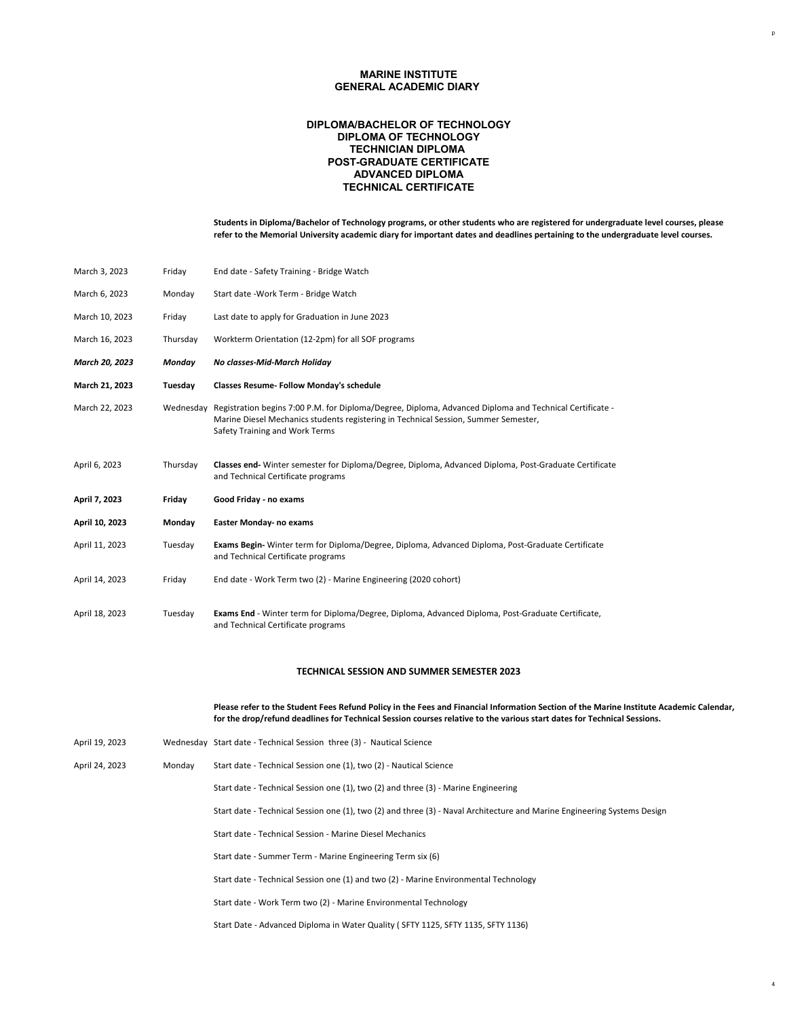**Students in Diploma/Bachelor of Technology programs, or other students who are registered for undergraduate level courses, please refer to the Memorial University academic diary for important dates and deadlines pertaining to the undergraduate level courses.**

### **MARINE INSTITUTE GENERAL ACADEMIC DIARY**

### **POST-GRADUATE CERTIFICATE DIPLOMA/BACHELOR OF TECHNOLOGY DIPLOMA OF TECHNOLOGY TECHNICIAN DIPLOMA ADVANCED DIPLOMA TECHNICAL CERTIFICATE**

| March 3, 2023         | Friday        | End date - Safety Training - Bridge Watch                                                                                                                                                                                                  |
|-----------------------|---------------|--------------------------------------------------------------------------------------------------------------------------------------------------------------------------------------------------------------------------------------------|
| March 6, 2023         | Monday        | Start date - Work Term - Bridge Watch                                                                                                                                                                                                      |
| March 10, 2023        | Friday        | Last date to apply for Graduation in June 2023                                                                                                                                                                                             |
| March 16, 2023        | Thursday      | Workterm Orientation (12-2pm) for all SOF programs                                                                                                                                                                                         |
| <b>March 20, 2023</b> | <b>Monday</b> | <b>No classes-Mid-March Holiday</b>                                                                                                                                                                                                        |
| March 21, 2023        | Tuesday       | <b>Classes Resume- Follow Monday's schedule</b>                                                                                                                                                                                            |
| March 22, 2023        |               | Wednesday Registration begins 7:00 P.M. for Diploma/Degree, Diploma, Advanced Diploma and Technical Certificate -<br>Marine Diesel Mechanics students registering in Technical Session, Summer Semester,<br>Safety Training and Work Terms |
| April 6, 2023         | Thursday      | Classes end-Winter semester for Diploma/Degree, Diploma, Advanced Diploma, Post-Graduate Certificate<br>and Technical Certificate programs                                                                                                 |
| April 7, 2023         | Friday        | <b>Good Friday - no exams</b>                                                                                                                                                                                                              |
| April 10, 2023        | <b>Monday</b> | <b>Easter Monday- no exams</b>                                                                                                                                                                                                             |
| April 11, 2023        | Tuesday       | Exams Begin- Winter term for Diploma/Degree, Diploma, Advanced Diploma, Post-Graduate Certificate<br>and Technical Certificate programs                                                                                                    |
| April 14, 2023        | Friday        | End date - Work Term two (2) - Marine Engineering (2020 cohort)                                                                                                                                                                            |
| April 18, 2023        | Tuesday       | <b>Exams End</b> - Winter term for Diploma/Degree, Diploma, Advanced Diploma, Post-Graduate Certificate,<br>and Technical Certificate programs                                                                                             |

**Please refer to the Student Fees Refund Policy in the Fees and Financial Information Section of the Marine Institute Academic Calendar, for the drop/refund deadlines for Technical Session courses relative to the various start dates for Technical Sessions.**

- April 19, 2023 Wednesday Start date Technical Session three (3) Nautical Science
- April 24, 2023 Monday Start date Technical Session one (1), two (2) Nautical Science

Start date - Technical Session one (1), two (2) and three (3) - Marine Engineering

Start date - Technical Session one (1), two (2) and three (3) - Naval Architecture and Marine Engineering Systems Design

Start date - Technical Session - Marine Diesel Mechanics

Start date - Summer Term - Marine Engineering Term six (6)

Start date - Technical Session one (1) and two (2) - Marine Environmental Technology

Start date - Work Term two (2) - Marine Environmental Technology

Start Date - Advanced Diploma in Water Quality ( SFTY 1125, SFTY 1135, SFTY 1136)

#### **TECHNICAL SESSION AND SUMMER SEMESTER 2023**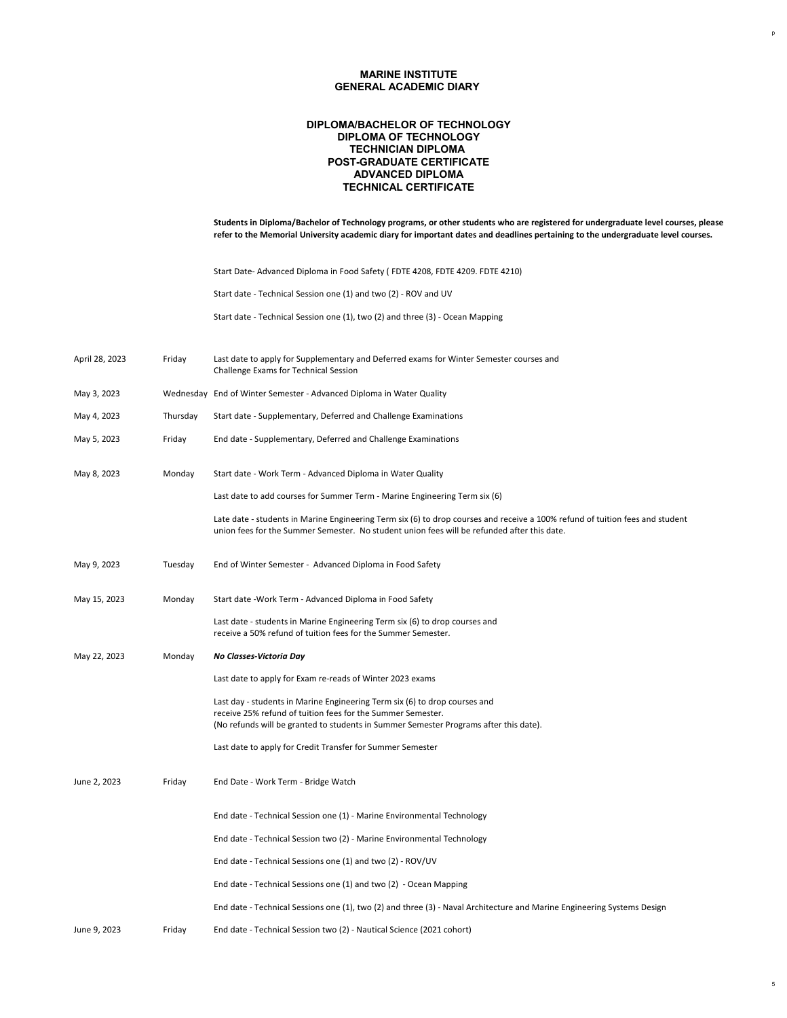| Students in Diploma/Bachelor of Technology programs, or other students who are registered for undergraduate level courses, please |
|-----------------------------------------------------------------------------------------------------------------------------------|
| refer to the Memorial University academic diary for important dates and deadlines pertaining to the undergraduate level courses.  |

# **MARINE INSTITUTE GENERAL ACADEMIC DIARY**

# **POST-GRADUATE CERTIFICATE DIPLOMA/BACHELOR OF TECHNOLOGY DIPLOMA OF TECHNOLOGY TECHNICIAN DIPLOMA ADVANCED DIPLOMA TECHNICAL CERTIFICATE**

Start Date- Advanced Diploma in Food Safety ( FDTE 4208, FDTE 4209. FDTE 4210)

Start date - Technical Session one (1) and two (2) - ROV and UV

- April 28, 2023 Friday Last date to apply for Supplementary and Deferred exams for Winter Semester courses and Challenge Exams for Technical Session
- May 3, 2023 Wednesday End of Winter Semester Advanced Diploma in Water Quality
- May 4, 2023 Thursday Start date Supplementary, Deferred and Challenge Examinations
- May 5, 2023 **Friday** End date Supplementary, Deferred and Challenge Examinations
- May 8, 2023 Monday Start date Work Term Advanced Diploma in Water Quality

Start date - Technical Session one (1), two (2) and three (3) - Ocean Mapping

Last date to add courses for Summer Term - Marine Engineering Term six (6)

Late date - students in Marine Engineering Term six (6) to drop courses and receive a 100% refund of tuition fees and student

|              |         | Late aate "staachts in manne Liightening Term six (0) to drop coarses and receive a 100% refund or taition recs and stude<br>union fees for the Summer Semester. No student union fees will be refunded after this date.           |
|--------------|---------|------------------------------------------------------------------------------------------------------------------------------------------------------------------------------------------------------------------------------------|
| May 9, 2023  | Tuesday | End of Winter Semester - Advanced Diploma in Food Safety                                                                                                                                                                           |
| May 15, 2023 | Monday  | Start date - Work Term - Advanced Diploma in Food Safety                                                                                                                                                                           |
|              |         | Last date - students in Marine Engineering Term six (6) to drop courses and<br>receive a 50% refund of tuition fees for the Summer Semester.                                                                                       |
| May 22, 2023 | Monday  | No Classes-Victoria Day                                                                                                                                                                                                            |
|              |         | Last date to apply for Exam re-reads of Winter 2023 exams                                                                                                                                                                          |
|              |         | Last day - students in Marine Engineering Term six (6) to drop courses and<br>receive 25% refund of tuition fees for the Summer Semester.<br>(No refunds will be granted to students in Summer Semester Programs after this date). |
|              |         | Last date to apply for Credit Transfer for Summer Semester                                                                                                                                                                         |
| June 2, 2023 | Friday  | End Date - Work Term - Bridge Watch                                                                                                                                                                                                |
|              |         | End date - Technical Session one (1) - Marine Environmental Technology                                                                                                                                                             |
|              |         | End date - Technical Session two (2) - Marine Environmental Technology                                                                                                                                                             |
|              |         | End date - Technical Sessions one (1) and two (2) - ROV/UV                                                                                                                                                                         |
|              |         | End date - Technical Sessions one (1) and two (2) - Ocean Mapping                                                                                                                                                                  |
|              |         | End date - Technical Sessions one (1), two (2) and three (3) - Naval Architecture and Marine Engineering Systems Design                                                                                                            |
| June 9, 2023 | Friday  | End date - Technical Session two (2) - Nautical Science (2021 cohort)                                                                                                                                                              |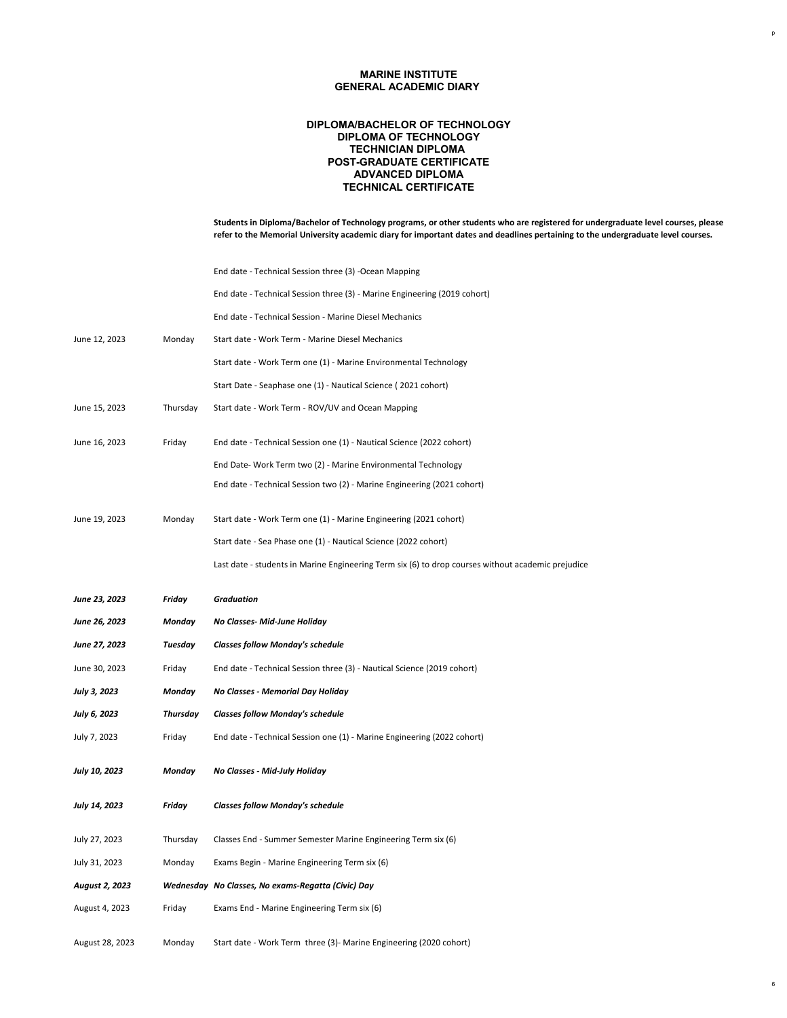**Students in Diploma/Bachelor of Technology programs, or other students who are registered for undergraduate level courses, please refer to the Memorial University academic diary for important dates and deadlines pertaining to the undergraduate level courses.**

# **MARINE INSTITUTE GENERAL ACADEMIC DIARY**

# **POST-GRADUATE CERTIFICATE DIPLOMA/BACHELOR OF TECHNOLOGY DIPLOMA OF TECHNOLOGY TECHNICIAN DIPLOMA ADVANCED DIPLOMA TECHNICAL CERTIFICATE**

End date - Technical Session three (3) -Ocean Mapping

End date - Technical Session three (3) - Marine Engineering (2019 cohort)

End date - Technical Session - Marine Diesel Mechanics

June 12, 2023 Monday Start date - Work Term - Marine Diesel Mechanics

Start date - Work Term one (1) - Marine Environmental Technology

Start Date - Seaphase one (1) - Nautical Science ( 2021 cohort)

June 15, 2023 Thursday Start date - Work Term - ROV/UV and Ocean Mapping

June 16, 2023 Friday End date - Technical Session one (1) - Nautical Science (2022 cohort)

End Date- Work Term two (2) - Marine Environmental Technology

End date - Technical Session two (2) - Marine Engineering (2021 cohort)

June 19, 2023 Monday Start date - Work Term one (1) - Marine Engineering (2021 cohort)

| JUIIL LJ, LULJ<br>171011047 |  |  |  |
|-----------------------------|--|--|--|
|-----------------------------|--|--|--|

Start date - Sea Phase one (1) - Nautical Science (2022 cohort)

Last date - students in Marine Engineering Term six (6) to drop courses without academic prejudice

| June 23, 2023         | Friday          | <b>Graduation</b>                                                       |
|-----------------------|-----------------|-------------------------------------------------------------------------|
| <b>June 26, 2023</b>  | Monday          | <b>No Classes- Mid-June Holiday</b>                                     |
| <b>June 27, 2023</b>  | <b>Tuesday</b>  | <b>Classes follow Monday's schedule</b>                                 |
| June 30, 2023         | Friday          | End date - Technical Session three (3) - Nautical Science (2019 cohort) |
| <b>July 3, 2023</b>   | Monday          | No Classes - Memorial Day Holiday                                       |
| <b>July 6, 2023</b>   | <b>Thursday</b> | <b>Classes follow Monday's schedule</b>                                 |
| July 7, 2023          | Friday          | End date - Technical Session one (1) - Marine Engineering (2022 cohort) |
| <b>July 10, 2023</b>  | Monday          | <b>No Classes - Mid-July Holiday</b>                                    |
| <b>July 14, 2023</b>  | <b>Friday</b>   | <b>Classes follow Monday's schedule</b>                                 |
| July 27, 2023         | Thursday        | Classes End - Summer Semester Marine Engineering Term six (6)           |
| July 31, 2023         | Monday          | Exams Begin - Marine Engineering Term six (6)                           |
| <b>August 2, 2023</b> |                 | Wednesday No Classes, No exams-Regatta (Civic) Day                      |
| August 4, 2023        | Friday          | Exams End - Marine Engineering Term six (6)                             |
|                       |                 |                                                                         |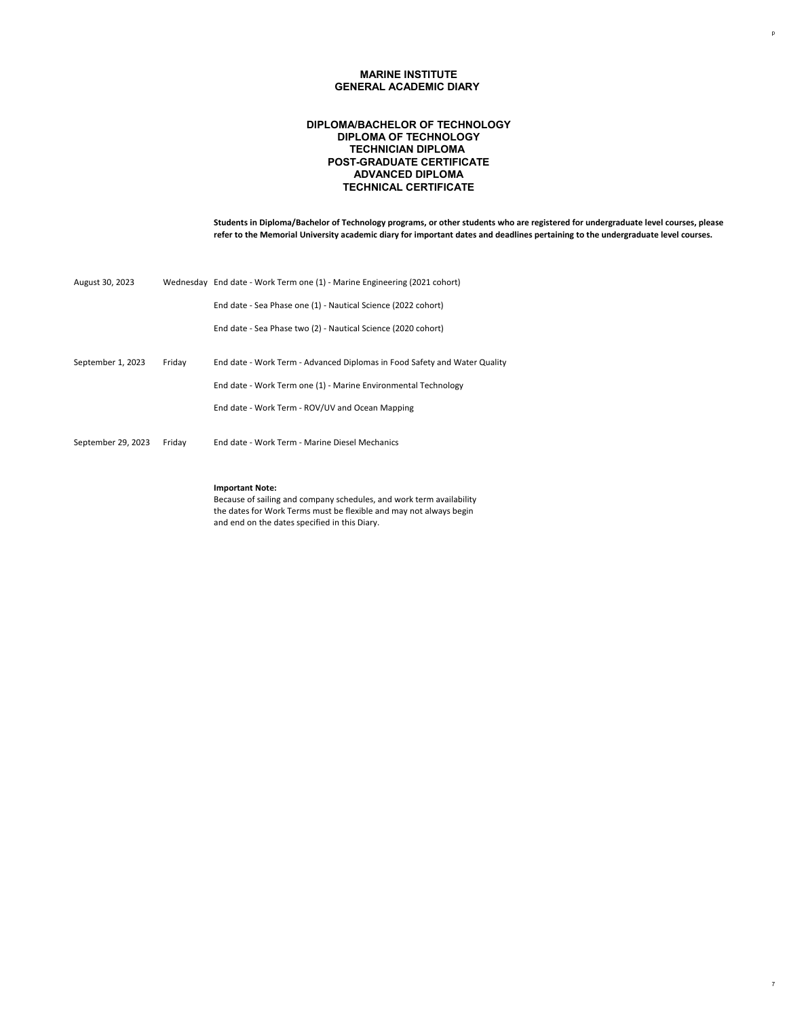**Students in Diploma/Bachelor of Technology programs, or other students who are registered for undergraduate level courses, please refer to the Memorial University academic diary for important dates and deadlines pertaining to the undergraduate level courses.**

# **MARINE INSTITUTE GENERAL ACADEMIC DIARY**

# **POST-GRADUATE CERTIFICATE DIPLOMA/BACHELOR OF TECHNOLOGY DIPLOMA OF TECHNOLOGY TECHNICIAN DIPLOMA ADVANCED DIPLOMA TECHNICAL CERTIFICATE**

| August 30, 2023    |        | Wednesday End date - Work Term one (1) - Marine Engineering (2021 cohort) |
|--------------------|--------|---------------------------------------------------------------------------|
|                    |        | End date - Sea Phase one (1) - Nautical Science (2022 cohort)             |
|                    |        | End date - Sea Phase two (2) - Nautical Science (2020 cohort)             |
|                    |        |                                                                           |
| September 1, 2023  | Friday | End date - Work Term - Advanced Diplomas in Food Safety and Water Quality |
|                    |        | End date - Work Term one (1) - Marine Environmental Technology            |
|                    |        | End date - Work Term - ROV/UV and Ocean Mapping                           |
|                    |        |                                                                           |
| September 29, 2023 | Friday | End date - Work Term - Marine Diesel Mechanics                            |
|                    |        |                                                                           |

### **Important Note:**

Because of sailing and company schedules, and work term availability the dates for Work Terms must be flexible and may not always begin

and end on the dates specified in this Diary.